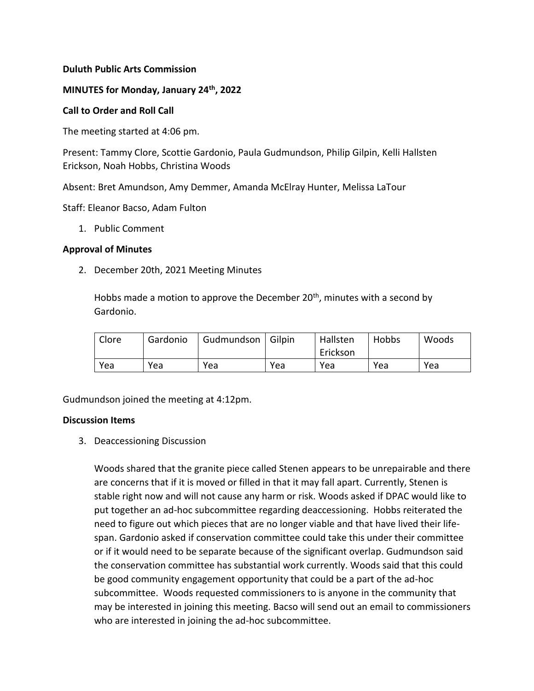## **Duluth Public Arts Commission**

### **MINUTES for Monday, January 24th, 2022**

#### **Call to Order and Roll Call**

The meeting started at 4:06 pm.

Present: Tammy Clore, Scottie Gardonio, Paula Gudmundson, Philip Gilpin, Kelli Hallsten Erickson, Noah Hobbs, Christina Woods

Absent: Bret Amundson, Amy Demmer, Amanda McElray Hunter, Melissa LaTour

Staff: Eleanor Bacso, Adam Fulton

1. Public Comment

#### **Approval of Minutes**

2. December 20th, 2021 Meeting Minutes

Hobbs made a motion to approve the December  $20<sup>th</sup>$ , minutes with a second by Gardonio.

| Clore | Gardonio | Gudmundson | Gilpin | Hallsten<br>Erickson | Hobbs | Woods |
|-------|----------|------------|--------|----------------------|-------|-------|
| Yea   | Yea      | Yea        | Yea    | Yea                  | Yea   | Yea   |

Gudmundson joined the meeting at 4:12pm.

#### **Discussion Items**

3. Deaccessioning Discussion

Woods shared that the granite piece called Stenen appears to be unrepairable and there are concerns that if it is moved or filled in that it may fall apart. Currently, Stenen is stable right now and will not cause any harm or risk. Woods asked if DPAC would like to put together an ad-hoc subcommittee regarding deaccessioning. Hobbs reiterated the need to figure out which pieces that are no longer viable and that have lived their lifespan. Gardonio asked if conservation committee could take this under their committee or if it would need to be separate because of the significant overlap. Gudmundson said the conservation committee has substantial work currently. Woods said that this could be good community engagement opportunity that could be a part of the ad-hoc subcommittee. Woods requested commissioners to is anyone in the community that may be interested in joining this meeting. Bacso will send out an email to commissioners who are interested in joining the ad-hoc subcommittee.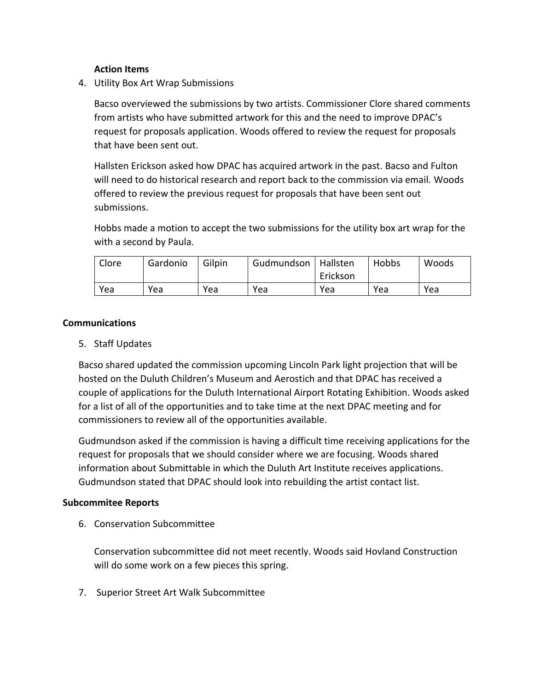## **Action Items**

4. Utility Box Art Wrap Submissions

Bacso overviewed the submissions by two artists. Commissioner Clore shared comments from artists who have submitted artwork for this and the need to improve DPAC's request for proposals application. Woods offered to review the request for proposals that have been sent out.

Hallsten Erickson asked how DPAC has acquired artwork in the past. Bacso and Fulton will need to do historical research and report back to the commission via email. Woods offered to review the previous request for proposals that have been sent out submissions.

Hobbs made a motion to accept the two submissions for the utility box art wrap for the with a second by Paula.

| Clore | Gardonio | Gilpin | Gudmundson   Hallsten | Erickson | Hobbs | Woods |
|-------|----------|--------|-----------------------|----------|-------|-------|
| Yea   | Yea      | Yea    | Yea                   | Yea      | Yea   | Yea   |

## **Communications**

5. Staff Updates

Bacso shared updated the commission upcoming Lincoln Park light projection that will be hosted on the Duluth Children's Museum and Aerostich and that DPAC has received a couple of applications for the Duluth International Airport Rotating Exhibition. Woods asked for a list of all of the opportunities and to take time at the next DPAC meeting and for commissioners to review all of the opportunities available.

Gudmundson asked if the commission is having a difficult time receiving applications for the request for proposals that we should consider where we are focusing. Woods shared information about Submittable in which the Duluth Art Institute receives applications. Gudmundson stated that DPAC should look into rebuilding the artist contact list.

## **Subcommitee Reports**

6. Conservation Subcommittee

Conservation subcommittee did not meet recently. Woods said Hovland Construction will do some work on a few pieces this spring.

7. Superior Street Art Walk Subcommittee